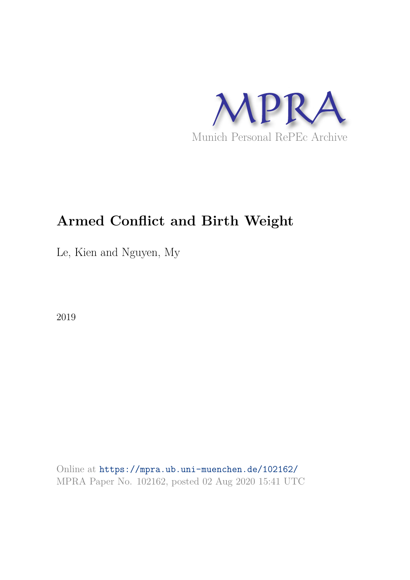

# **Armed Conflict and Birth Weight**

Le, Kien and Nguyen, My

2019

Online at https://mpra.ub.uni-muenchen.de/102162/ MPRA Paper No. 102162, posted 02 Aug 2020 15:41 UTC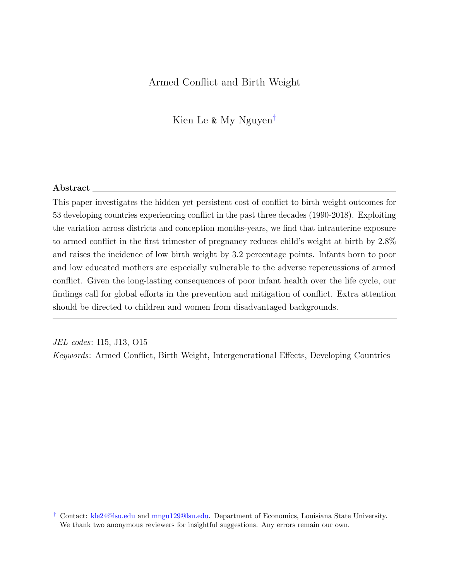## Armed Conflict and Birth Weight

Kien Le & My Nguyen†

#### $\rm Abstract$   $\_$

This paper investigates the hidden yet persistent cost of conflict to birth weight outcomes for 53 developing countries experiencing conflict in the past three decades (1990-2018). Exploiting the variation across districts and conception months-years, we find that intrauterine exposure to armed conflict in the first trimester of pregnancy reduces child's weight at birth by 2.8% and raises the incidence of low birth weight by 3.2 percentage points. Infants born to poor and low educated mothers are especially vulnerable to the adverse repercussions of armed conflict. Given the long-lasting consequences of poor infant health over the life cycle, our findings call for global efforts in the prevention and mitigation of conflict. Extra attention should be directed to children and women from disadvantaged backgrounds.

JEL codes: I15, J13, O15

Keywords: Armed Conflict, Birth Weight, Intergenerational Effects, Developing Countries

<sup>†</sup> Contact: kle24@lsu.edu and mngu129@lsu.edu. Department of Economics, Louisiana State University. We thank two anonymous reviewers for insightful suggestions. Any errors remain our own.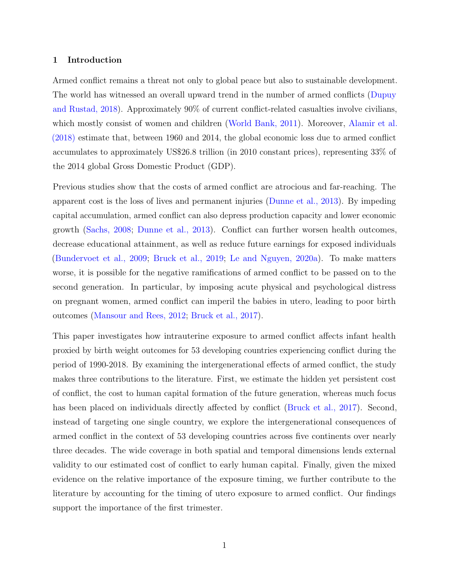#### 1 Introduction

Armed conflict remains a threat not only to global peace but also to sustainable development. The world has witnessed an overall upward trend in the number of armed conflicts (Dupuy and Rustad, 2018). Approximately 90% of current conflict-related casualties involve civilians, which mostly consist of women and children (World Bank, 2011). Moreover, Alamir et al. (2018) estimate that, between 1960 and 2014, the global economic loss due to armed conflict accumulates to approximately US\$26.8 trillion (in 2010 constant prices), representing 33% of the 2014 global Gross Domestic Product (GDP).

Previous studies show that the costs of armed conflict are atrocious and far-reaching. The apparent cost is the loss of lives and permanent injuries (Dunne et al., 2013). By impeding capital accumulation, armed conflict can also depress production capacity and lower economic growth (Sachs, 2008; Dunne et al., 2013). Conflict can further worsen health outcomes, decrease educational attainment, as well as reduce future earnings for exposed individuals (Bundervoet et al., 2009; Bruck et al., 2019; Le and Nguyen, 2020a). To make matters worse, it is possible for the negative ramifications of armed conflict to be passed on to the second generation. In particular, by imposing acute physical and psychological distress on pregnant women, armed conflict can imperil the babies in utero, leading to poor birth outcomes (Mansour and Rees, 2012; Bruck et al., 2017).

This paper investigates how intrauterine exposure to armed conflict affects infant health proxied by birth weight outcomes for 53 developing countries experiencing conflict during the period of 1990-2018. By examining the intergenerational effects of armed conflict, the study makes three contributions to the literature. First, we estimate the hidden yet persistent cost of conflict, the cost to human capital formation of the future generation, whereas much focus has been placed on individuals directly affected by conflict (Bruck et al., 2017). Second, instead of targeting one single country, we explore the intergenerational consequences of armed conflict in the context of 53 developing countries across five continents over nearly three decades. The wide coverage in both spatial and temporal dimensions lends external validity to our estimated cost of conflict to early human capital. Finally, given the mixed evidence on the relative importance of the exposure timing, we further contribute to the literature by accounting for the timing of utero exposure to armed conflict. Our findings support the importance of the first trimester.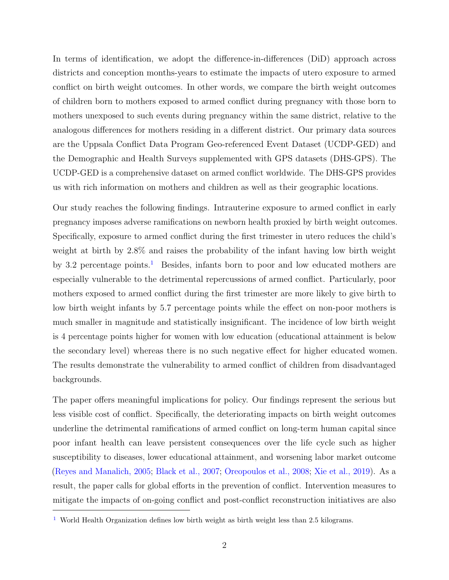In terms of identification, we adopt the difference-in-differences (DiD) approach across districts and conception months-years to estimate the impacts of utero exposure to armed conflict on birth weight outcomes. In other words, we compare the birth weight outcomes of children born to mothers exposed to armed conflict during pregnancy with those born to mothers unexposed to such events during pregnancy within the same district, relative to the analogous differences for mothers residing in a different district. Our primary data sources are the Uppsala Conflict Data Program Geo-referenced Event Dataset (UCDP-GED) and the Demographic and Health Surveys supplemented with GPS datasets (DHS-GPS). The UCDP-GED is a comprehensive dataset on armed conflict worldwide. The DHS-GPS provides us with rich information on mothers and children as well as their geographic locations.

Our study reaches the following findings. Intrauterine exposure to armed conflict in early pregnancy imposes adverse ramifications on newborn health proxied by birth weight outcomes. Specifically, exposure to armed conflict during the first trimester in utero reduces the child's weight at birth by 2.8% and raises the probability of the infant having low birth weight by 3.2 percentage points.<sup>1</sup> Besides, infants born to poor and low educated mothers are especially vulnerable to the detrimental repercussions of armed conflict. Particularly, poor mothers exposed to armed conflict during the first trimester are more likely to give birth to low birth weight infants by 5.7 percentage points while the effect on non-poor mothers is much smaller in magnitude and statistically insignificant. The incidence of low birth weight is 4 percentage points higher for women with low education (educational attainment is below the secondary level) whereas there is no such negative effect for higher educated women. The results demonstrate the vulnerability to armed conflict of children from disadvantaged backgrounds.

The paper offers meaningful implications for policy. Our findings represent the serious but less visible cost of conflict. Specifically, the deteriorating impacts on birth weight outcomes underline the detrimental ramifications of armed conflict on long-term human capital since poor infant health can leave persistent consequences over the life cycle such as higher susceptibility to diseases, lower educational attainment, and worsening labor market outcome (Reyes and Manalich, 2005; Black et al., 2007; Oreopoulos et al., 2008; Xie et al., 2019). As a result, the paper calls for global efforts in the prevention of conflict. Intervention measures to mitigate the impacts of on-going conflict and post-conflict reconstruction initiatives are also

<sup>&</sup>lt;sup>1</sup> World Health Organization defines low birth weight as birth weight less than 2.5 kilograms.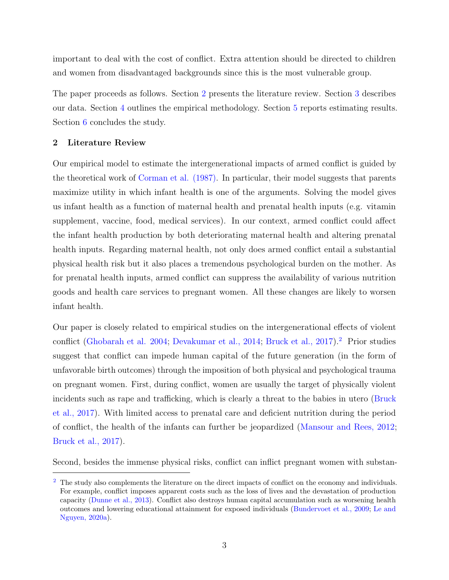important to deal with the cost of conflict. Extra attention should be directed to children and women from disadvantaged backgrounds since this is the most vulnerable group.

The paper proceeds as follows. Section 2 presents the literature review. Section 3 describes our data. Section 4 outlines the empirical methodology. Section 5 reports estimating results. Section 6 concludes the study.

#### 2 Literature Review

Our empirical model to estimate the intergenerational impacts of armed conflict is guided by the theoretical work of Corman et al. (1987). In particular, their model suggests that parents maximize utility in which infant health is one of the arguments. Solving the model gives us infant health as a function of maternal health and prenatal health inputs (e.g. vitamin supplement, vaccine, food, medical services). In our context, armed conflict could affect the infant health production by both deteriorating maternal health and altering prenatal health inputs. Regarding maternal health, not only does armed conflict entail a substantial physical health risk but it also places a tremendous psychological burden on the mother. As for prenatal health inputs, armed conflict can suppress the availability of various nutrition goods and health care services to pregnant women. All these changes are likely to worsen infant health.

Our paper is closely related to empirical studies on the intergenerational effects of violent conflict (Ghobarah et al. 2004; Devakumar et al., 2014; Bruck et al., 2017).<sup>2</sup> Prior studies suggest that conflict can impede human capital of the future generation (in the form of unfavorable birth outcomes) through the imposition of both physical and psychological trauma on pregnant women. First, during conflict, women are usually the target of physically violent incidents such as rape and trafficking, which is clearly a threat to the babies in utero (Bruck et al., 2017). With limited access to prenatal care and deficient nutrition during the period of conflict, the health of the infants can further be jeopardized (Mansour and Rees, 2012; Bruck et al., 2017).

Second, besides the immense physical risks, conflict can inflict pregnant women with substan-

<sup>&</sup>lt;sup>2</sup> The study also complements the literature on the direct impacts of conflict on the economy and individuals. For example, conflict imposes apparent costs such as the loss of lives and the devastation of production capacity (Dunne et al., 2013). Conflict also destroys human capital accumulation such as worsening health outcomes and lowering educational attainment for exposed individuals (Bundervoet et al., 2009; Le and Nguyen, 2020a).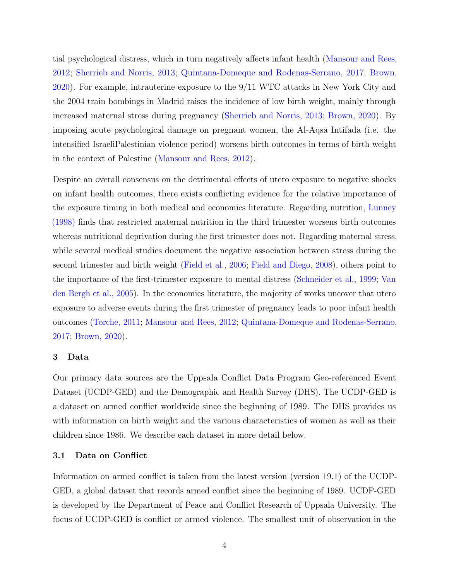tial psychological distress, which in turn negatively affects infant health (Mansour and Rees, 2012; Sherrieb and Norris, 2013; Quintana-Domeque and Rodenas-Serrano, 2017; Brown, 2020). For example, intrauterine exposure to the 9/11 WTC attacks in New York City and the 2004 train bombings in Madrid raises the incidence of low birth weight, mainly through increased maternal stress during pregnancy (Sherrieb and Norris, 2013; Brown, 2020). By imposing acute psychological damage on pregnant women, the Al-Aqsa Intifada (i.e. the intensified IsraeliPalestinian violence period) worsens birth outcomes in terms of birth weight in the context of Palestine (Mansour and Rees, 2012).

Despite an overall consensus on the detrimental effects of utero exposure to negative shocks on infant health outcomes, there exists conflicting evidence for the relative importance of the exposure timing in both medical and economics literature. Regarding nutrition, Lunney (1998) finds that restricted maternal nutrition in the third trimester worsens birth outcomes whereas nutritional deprivation during the first trimester does not. Regarding maternal stress, while several medical studies document the negative association between stress during the second trimester and birth weight (Field et al., 2006; Field and Diego, 2008), others point to the importance of the first-trimester exposure to mental distress (Schneider et al., 1999; Van den Bergh et al., 2005). In the economics literature, the majority of works uncover that utero exposure to adverse events during the first trimester of pregnancy leads to poor infant health outcomes (Torche, 2011; Mansour and Rees, 2012; Quintana-Domeque and Rodenas-Serrano, 2017; Brown, 2020).

#### 3 Data

Our primary data sources are the Uppsala Conflict Data Program Geo-referenced Event Dataset (UCDP-GED) and the Demographic and Health Survey (DHS). The UCDP-GED is a dataset on armed conflict worldwide since the beginning of 1989. The DHS provides us with information on birth weight and the various characteristics of women as well as their children since 1986. We describe each dataset in more detail below.

#### 3.1 Data on Conflict

Information on armed conflict is taken from the latest version (version 19.1) of the UCDP-GED, a global dataset that records armed conflict since the beginning of 1989. UCDP-GED is developed by the Department of Peace and Conflict Research of Uppsala University. The focus of UCDP-GED is conflict or armed violence. The smallest unit of observation in the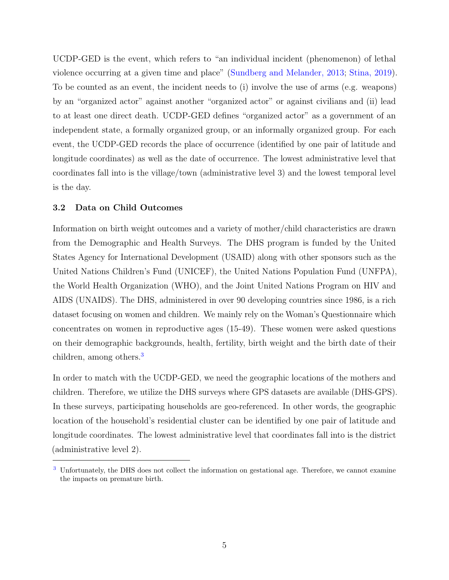UCDP-GED is the event, which refers to "an individual incident (phenomenon) of lethal violence occurring at a given time and place" (Sundberg and Melander, 2013; Stina, 2019). To be counted as an event, the incident needs to (i) involve the use of arms (e.g. weapons) by an "organized actor" against another "organized actor" or against civilians and (ii) lead to at least one direct death. UCDP-GED defines "organized actor" as a government of an independent state, a formally organized group, or an informally organized group. For each event, the UCDP-GED records the place of occurrence (identified by one pair of latitude and longitude coordinates) as well as the date of occurrence. The lowest administrative level that coordinates fall into is the village/town (administrative level 3) and the lowest temporal level is the day.

#### 3.2 Data on Child Outcomes

Information on birth weight outcomes and a variety of mother/child characteristics are drawn from the Demographic and Health Surveys. The DHS program is funded by the United States Agency for International Development (USAID) along with other sponsors such as the United Nations Children's Fund (UNICEF), the United Nations Population Fund (UNFPA), the World Health Organization (WHO), and the Joint United Nations Program on HIV and AIDS (UNAIDS). The DHS, administered in over 90 developing countries since 1986, is a rich dataset focusing on women and children. We mainly rely on the Woman's Questionnaire which concentrates on women in reproductive ages (15-49). These women were asked questions on their demographic backgrounds, health, fertility, birth weight and the birth date of their children, among others.<sup>3</sup>

In order to match with the UCDP-GED, we need the geographic locations of the mothers and children. Therefore, we utilize the DHS surveys where GPS datasets are available (DHS-GPS). In these surveys, participating households are geo-referenced. In other words, the geographic location of the household's residential cluster can be identified by one pair of latitude and longitude coordinates. The lowest administrative level that coordinates fall into is the district (administrative level 2).

<sup>3</sup> Unfortunately, the DHS does not collect the information on gestational age. Therefore, we cannot examine the impacts on premature birth.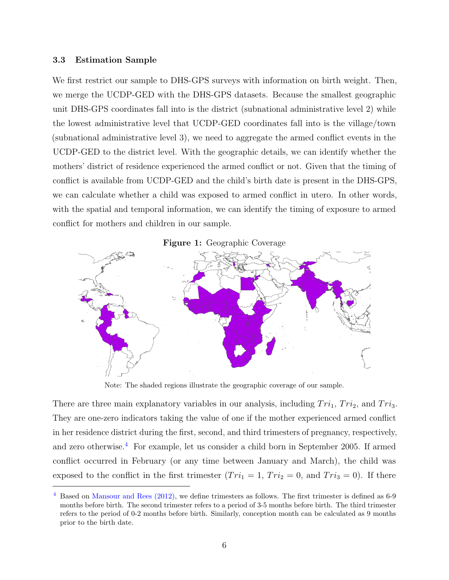#### 3.3 Estimation Sample

We first restrict our sample to DHS-GPS surveys with information on birth weight. Then, we merge the UCDP-GED with the DHS-GPS datasets. Because the smallest geographic unit DHS-GPS coordinates fall into is the district (subnational administrative level 2) while the lowest administrative level that UCDP-GED coordinates fall into is the village/town (subnational administrative level 3), we need to aggregate the armed conflict events in the UCDP-GED to the district level. With the geographic details, we can identify whether the mothers' district of residence experienced the armed conflict or not. Given that the timing of conflict is available from UCDP-GED and the child's birth date is present in the DHS-GPS, we can calculate whether a child was exposed to armed conflict in utero. In other words, with the spatial and temporal information, we can identify the timing of exposure to armed conflict for mothers and children in our sample.



Note: The shaded regions illustrate the geographic coverage of our sample.

There are three main explanatory variables in our analysis, including  $Tri_1$ ,  $Tri_2$ , and  $Tri_3$ . They are one-zero indicators taking the value of one if the mother experienced armed conflict in her residence district during the first, second, and third trimesters of pregnancy, respectively, and zero otherwise.<sup>4</sup> For example, let us consider a child born in September 2005. If armed conflict occurred in February (or any time between January and March), the child was exposed to the conflict in the first trimester  $(Tri_1 = 1, Tri_2 = 0,$  and  $Tri_3 = 0)$ . If there

 $4$  Based on Mansour and Rees (2012), we define trimesters as follows. The first trimester is defined as 6-9 months before birth. The second trimester refers to a period of 3-5 months before birth. The third trimester refers to the period of 0-2 months before birth. Similarly, conception month can be calculated as 9 months prior to the birth date.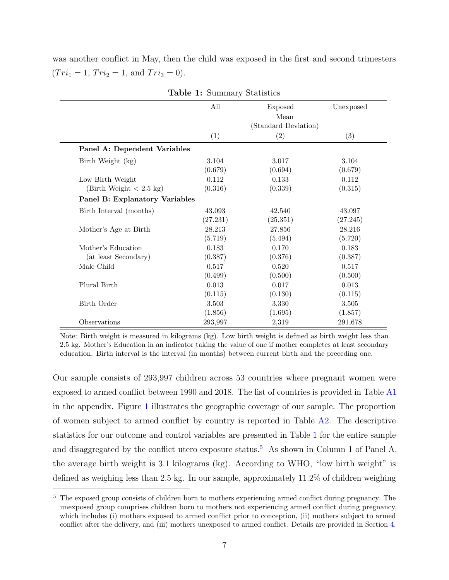was another conflict in May, then the child was exposed in the first and second trimesters  $(Tri_1 = 1, Tri_2 = 1, and Tri_3 = 0).$ 

|                                | All      | Exposed                      | Unexposed |
|--------------------------------|----------|------------------------------|-----------|
|                                |          | Mean<br>(Standard Deviation) |           |
|                                | (1)      | (2)                          | (3)       |
| Panel A: Dependent Variables   |          |                              |           |
| Birth Weight (kg)              | 3.104    | 3.017                        | 3.104     |
|                                | (0.679)  | (0.694)                      | (0.679)   |
| Low Birth Weight               | 0.112    | 0.133                        | 0.112     |
| (Birth Weight $< 2.5$ kg)      | (0.316)  | (0.339)                      | (0.315)   |
| Panel B: Explanatory Variables |          |                              |           |
| Birth Interval (months)        | 43.093   | 42.540                       | 43.097    |
|                                | (27.231) | (25.351)                     | (27.245)  |
| Mother's Age at Birth          | 28.213   | 27.856                       | 28.216    |
|                                | (5.719)  | (5.494)                      | (5.720)   |
| Mother's Education             | 0.183    | 0.170                        | 0.183     |
| (at least Secondary)           | (0.387)  | (0.376)                      | (0.387)   |
| Male Child                     | 0.517    | 0.520                        | 0.517     |
|                                | (0.499)  | (0.500)                      | (0.500)   |
| Plural Birth                   | 0.013    | 0.017                        | 0.013     |
|                                | (0.115)  | (0.130)                      | (0.115)   |
| Birth Order                    | 3.503    | 3.330                        | 3.505     |
|                                | (1.856)  | (1.695)                      | (1.857)   |
| Observations                   | 293,997  | 2,319                        | 291,678   |

Table 1: Summary Statistics

Note: Birth weight is measured in kilograms (kg). Low birth weight is defined as birth weight less than 2.5 kg. Mother's Education in an indicator taking the value of one if mother completes at least secondary education. Birth interval is the interval (in months) between current birth and the preceding one.

Our sample consists of 293,997 children across 53 countries where pregnant women were exposed to armed conflict between 1990 and 2018. The list of countries is provided in Table A1 in the appendix. Figure 1 illustrates the geographic coverage of our sample. The proportion of women subject to armed conflict by country is reported in Table  $A2$ . The descriptive statistics for our outcome and control variables are presented in Table 1 for the entire sample and disaggregated by the conflict utero exposure status.<sup>5</sup> As shown in Column 1 of Panel A, the average birth weight is 3.1 kilograms (kg). According to WHO, "low birth weight" is defined as weighing less than 2.5 kg. In our sample, approximately 11.2% of children weighing

<sup>&</sup>lt;sup>5</sup> The exposed group consists of children born to mothers experiencing armed conflict during pregnancy. The unexposed group comprises children born to mothers not experiencing armed conflict during pregnancy, which includes (i) mothers exposed to armed conflict prior to conception, (ii) mothers subject to armed conflict after the delivery, and (iii) mothers unexposed to armed conflict. Details are provided in Section 4.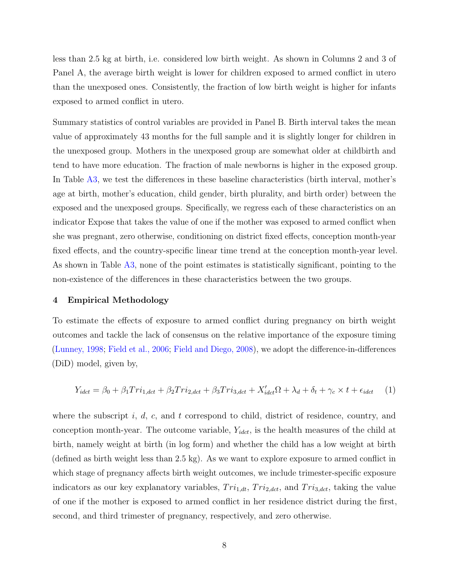less than 2.5 kg at birth, i.e. considered low birth weight. As shown in Columns 2 and 3 of Panel A, the average birth weight is lower for children exposed to armed conflict in utero than the unexposed ones. Consistently, the fraction of low birth weight is higher for infants exposed to armed conflict in utero.

Summary statistics of control variables are provided in Panel B. Birth interval takes the mean value of approximately 43 months for the full sample and it is slightly longer for children in the unexposed group. Mothers in the unexposed group are somewhat older at childbirth and tend to have more education. The fraction of male newborns is higher in the exposed group. In Table A3, we test the differences in these baseline characteristics (birth interval, mother's age at birth, mother's education, child gender, birth plurality, and birth order) between the exposed and the unexposed groups. Specifically, we regress each of these characteristics on an indicator Expose that takes the value of one if the mother was exposed to armed conflict when she was pregnant, zero otherwise, conditioning on district fixed effects, conception month-year fixed effects, and the country-specific linear time trend at the conception month-year level. As shown in Table A3, none of the point estimates is statistically significant, pointing to the non-existence of the differences in these characteristics between the two groups.

#### 4 Empirical Methodology

To estimate the effects of exposure to armed conflict during pregnancy on birth weight outcomes and tackle the lack of consensus on the relative importance of the exposure timing (Lunney, 1998; Field et al., 2006; Field and Diego, 2008), we adopt the difference-in-differences (DiD) model, given by,

$$
Y_{idct} = \beta_0 + \beta_1 Tri_{1,det} + \beta_2 Tri_{2,det} + \beta_3 Tri_{3,det} + X'_{idct} \Omega + \lambda_d + \delta_t + \gamma_c \times t + \epsilon_{idct} \tag{1}
$$

where the subscript i, d, c, and t correspond to child, district of residence, country, and conception month-year. The outcome variable,  $Y_{idct}$ , is the health measures of the child at birth, namely weight at birth (in log form) and whether the child has a low weight at birth (defined as birth weight less than 2.5 kg). As we want to explore exposure to armed conflict in which stage of pregnancy affects birth weight outcomes, we include trimester-specific exposure indicators as our key explanatory variables,  $Tri_{1,dt}$ ,  $Tri_{2,det}$ , and  $Tri_{3,det}$ , taking the value of one if the mother is exposed to armed conflict in her residence district during the first, second, and third trimester of pregnancy, respectively, and zero otherwise.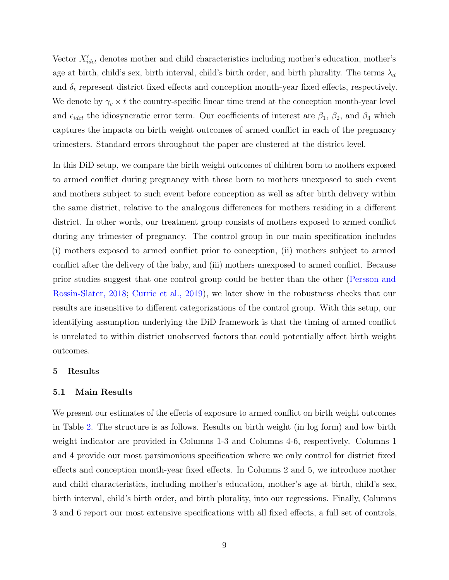Vector  $X'_{idct}$  denotes mother and child characteristics including mother's education, mother's age at birth, child's sex, birth interval, child's birth order, and birth plurality. The terms  $\lambda_d$ and  $\delta_t$  represent district fixed effects and conception month-year fixed effects, respectively. We denote by  $\gamma_c \times t$  the country-specific linear time trend at the conception month-year level and  $\epsilon_{idct}$  the idiosyncratic error term. Our coefficients of interest are  $\beta_1$ ,  $\beta_2$ , and  $\beta_3$  which captures the impacts on birth weight outcomes of armed conflict in each of the pregnancy trimesters. Standard errors throughout the paper are clustered at the district level.

In this DiD setup, we compare the birth weight outcomes of children born to mothers exposed to armed conflict during pregnancy with those born to mothers unexposed to such event and mothers subject to such event before conception as well as after birth delivery within the same district, relative to the analogous differences for mothers residing in a different district. In other words, our treatment group consists of mothers exposed to armed conflict during any trimester of pregnancy. The control group in our main specification includes (i) mothers exposed to armed conflict prior to conception, (ii) mothers subject to armed conflict after the delivery of the baby, and (iii) mothers unexposed to armed conflict. Because prior studies suggest that one control group could be better than the other (Persson and Rossin-Slater, 2018; Currie et al., 2019), we later show in the robustness checks that our results are insensitive to different categorizations of the control group. With this setup, our identifying assumption underlying the DiD framework is that the timing of armed conflict is unrelated to within district unobserved factors that could potentially affect birth weight outcomes.

#### 5 Results

#### 5.1 Main Results

We present our estimates of the effects of exposure to armed conflict on birth weight outcomes in Table 2. The structure is as follows. Results on birth weight (in log form) and low birth weight indicator are provided in Columns 1-3 and Columns 4-6, respectively. Columns 1 and 4 provide our most parsimonious specification where we only control for district fixed effects and conception month-year fixed effects. In Columns 2 and 5, we introduce mother and child characteristics, including mother's education, mother's age at birth, child's sex, birth interval, child's birth order, and birth plurality, into our regressions. Finally, Columns 3 and 6 report our most extensive specifications with all fixed effects, a full set of controls,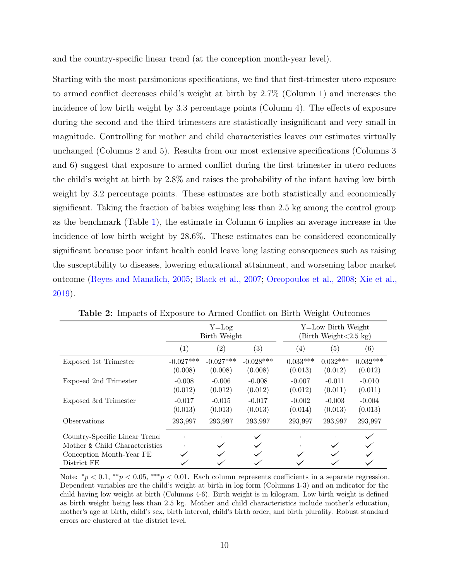and the country-specific linear trend (at the conception month-year level).

Starting with the most parsimonious specifications, we find that first-trimester utero exposure to armed conflict decreases child's weight at birth by 2.7% (Column 1) and increases the incidence of low birth weight by 3.3 percentage points (Column 4). The effects of exposure during the second and the third trimesters are statistically insignificant and very small in magnitude. Controlling for mother and child characteristics leaves our estimates virtually unchanged (Columns 2 and 5). Results from our most extensive specifications (Columns 3 and 6) suggest that exposure to armed conflict during the first trimester in utero reduces the child's weight at birth by 2.8% and raises the probability of the infant having low birth weight by 3.2 percentage points. These estimates are both statistically and economically significant. Taking the fraction of babies weighing less than 2.5 kg among the control group as the benchmark (Table 1), the estimate in Column 6 implies an average increase in the incidence of low birth weight by 28.6%. These estimates can be considered economically significant because poor infant health could leave long lasting consequences such as raising the susceptibility to diseases, lowering educational attainment, and worsening labor market outcome (Reyes and Manalich, 2005; Black et al., 2007; Oreopoulos et al., 2008; Xie et al., 2019).

|                                                                 |                        | $Y = Log$<br>Birth Weight |                        | Y=Low Birth Weight<br>$\left( \text{Birth Weight} < 2.5 \text{ kg} \right)$ |                       |                       |  |
|-----------------------------------------------------------------|------------------------|---------------------------|------------------------|-----------------------------------------------------------------------------|-----------------------|-----------------------|--|
|                                                                 | $\left( 1\right)$      | $\left( 2\right)$         | $\left( 3\right)$      | $\left( 4\right)$                                                           | (5)                   | (6)                   |  |
| Exposed 1st Trimester                                           | $-0.027***$<br>(0.008) | $-0.027***$<br>(0.008)    | $-0.028***$<br>(0.008) | $0.033***$<br>(0.013)                                                       | $0.032***$<br>(0.012) | $0.032***$<br>(0.012) |  |
| Exposed 2nd Trimester                                           | $-0.008$<br>(0.012)    | $-0.006$<br>(0.012)       | $-0.008$<br>(0.012)    | $-0.007$<br>(0.012)                                                         | $-0.011$<br>(0.011)   | $-0.010$<br>(0.011)   |  |
| Exposed 3rd Trimester                                           | $-0.017$<br>(0.013)    | $-0.015$<br>(0.013)       | $-0.017$<br>(0.013)    | $-0.002$<br>(0.014)                                                         | $-0.003$<br>(0.013)   | $-0.004$<br>(0.013)   |  |
| <b>Observations</b>                                             | 293,997                | 293,997                   | 293,997                | 293,997                                                                     | 293,997               | 293,997               |  |
| Country-Specific Linear Trend<br>Mother & Child Characteristics |                        |                           |                        |                                                                             |                       |                       |  |
| Conception Month-Year FE<br>District FE                         |                        |                           |                        |                                                                             |                       |                       |  |

Table 2: Impacts of Exposure to Armed Conflict on Birth Weight Outcomes

Note:  $^*p < 0.1$ ,  $^{**}p < 0.05$ ,  $^{***}p < 0.01$ . Each column represents coefficients in a separate regression. Dependent variables are the child's weight at birth in log form (Columns 1-3) and an indicator for the child having low weight at birth (Columns 4-6). Birth weight is in kilogram. Low birth weight is defined as birth weight being less than 2.5 kg. Mother and child characteristics include mother's education, mother's age at birth, child's sex, birth interval, child's birth order, and birth plurality. Robust standard errors are clustered at the district level.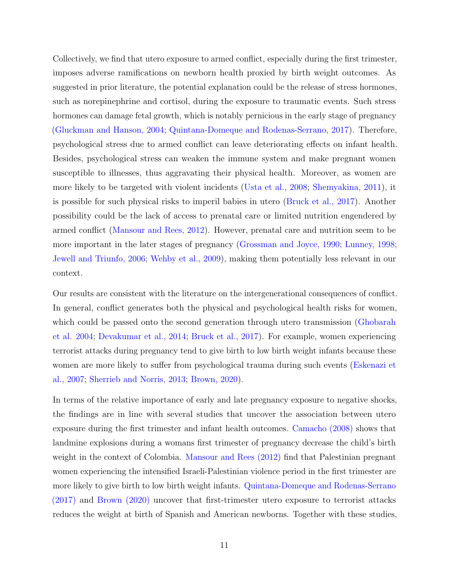Collectively, we find that utero exposure to armed conflict, especially during the first trimester, imposes adverse ramifications on newborn health proxied by birth weight outcomes. As suggested in prior literature, the potential explanation could be the release of stress hormones, such as norepinephrine and cortisol, during the exposure to traumatic events. Such stress hormones can damage fetal growth, which is notably pernicious in the early stage of pregnancy (Gluckman and Hanson, 2004; Quintana-Domeque and Rodenas-Serrano, 2017). Therefore, psychological stress due to armed conflict can leave deteriorating effects on infant health. Besides, psychological stress can weaken the immune system and make pregnant women susceptible to illnesses, thus aggravating their physical health. Moreover, as women are more likely to be targeted with violent incidents (Usta et al., 2008; Shemyakina, 2011), it is possible for such physical risks to imperil babies in utero (Bruck et al., 2017). Another possibility could be the lack of access to prenatal care or limited nutrition engendered by armed conflict (Mansour and Rees, 2012). However, prenatal care and nutrition seem to be more important in the later stages of pregnancy (Grossman and Joyce, 1990; Lunney, 1998; Jewell and Triunfo, 2006; Wehby et al., 2009), making them potentially less relevant in our context.

Our results are consistent with the literature on the intergenerational consequences of conflict. In general, conflict generates both the physical and psychological health risks for women, which could be passed onto the second generation through utero transmission (Ghobarah et al. 2004; Devakumar et al., 2014; Bruck et al., 2017). For example, women experiencing terrorist attacks during pregnancy tend to give birth to low birth weight infants because these women are more likely to suffer from psychological trauma during such events (Eskenazi et al., 2007; Sherrieb and Norris, 2013; Brown, 2020).

In terms of the relative importance of early and late pregnancy exposure to negative shocks, the findings are in line with several studies that uncover the association between utero exposure during the first trimester and infant health outcomes. Camacho (2008) shows that landmine explosions during a womans first trimester of pregnancy decrease the child's birth weight in the context of Colombia. Mansour and Rees (2012) find that Palestinian pregnant women experiencing the intensified Israeli-Palestinian violence period in the first trimester are more likely to give birth to low birth weight infants. Quintana-Domeque and Rodenas-Serrano (2017) and Brown (2020) uncover that first-trimester utero exposure to terrorist attacks reduces the weight at birth of Spanish and American newborns. Together with these studies,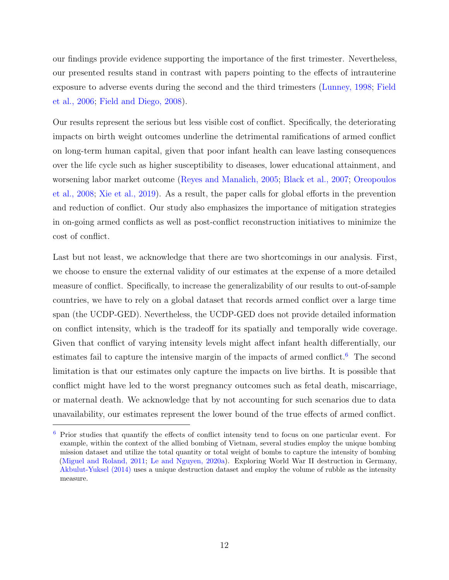our findings provide evidence supporting the importance of the first trimester. Nevertheless, our presented results stand in contrast with papers pointing to the effects of intrauterine exposure to adverse events during the second and the third trimesters (Lunney, 1998; Field et al., 2006; Field and Diego, 2008).

Our results represent the serious but less visible cost of conflict. Specifically, the deteriorating impacts on birth weight outcomes underline the detrimental ramifications of armed conflict on long-term human capital, given that poor infant health can leave lasting consequences over the life cycle such as higher susceptibility to diseases, lower educational attainment, and worsening labor market outcome (Reyes and Manalich, 2005; Black et al., 2007; Oreopoulos et al., 2008; Xie et al., 2019). As a result, the paper calls for global efforts in the prevention and reduction of conflict. Our study also emphasizes the importance of mitigation strategies in on-going armed conflicts as well as post-conflict reconstruction initiatives to minimize the cost of conflict.

Last but not least, we acknowledge that there are two shortcomings in our analysis. First, we choose to ensure the external validity of our estimates at the expense of a more detailed measure of conflict. Specifically, to increase the generalizability of our results to out-of-sample countries, we have to rely on a global dataset that records armed conflict over a large time span (the UCDP-GED). Nevertheless, the UCDP-GED does not provide detailed information on conflict intensity, which is the tradeoff for its spatially and temporally wide coverage. Given that conflict of varying intensity levels might affect infant health differentially, our estimates fail to capture the intensive margin of the impacts of armed conflict.<sup>6</sup> The second limitation is that our estimates only capture the impacts on live births. It is possible that conflict might have led to the worst pregnancy outcomes such as fetal death, miscarriage, or maternal death. We acknowledge that by not accounting for such scenarios due to data unavailability, our estimates represent the lower bound of the true effects of armed conflict.

<sup>6</sup> Prior studies that quantify the effects of conflict intensity tend to focus on one particular event. For example, within the context of the allied bombing of Vietnam, several studies employ the unique bombing mission dataset and utilize the total quantity or total weight of bombs to capture the intensity of bombing (Miguel and Roland, 2011; Le and Nguyen, 2020a). Exploring World War II destruction in Germany, Akbulut-Yuksel (2014) uses a unique destruction dataset and employ the volume of rubble as the intensity measure.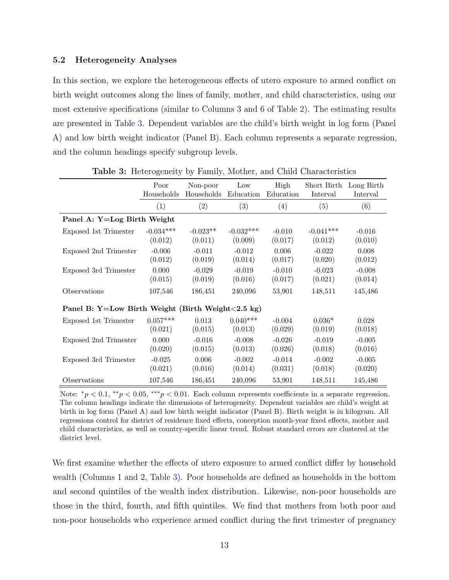#### 5.2 Heterogeneity Analyses

In this section, we explore the heterogeneous effects of utero exposure to armed conflict on birth weight outcomes along the lines of family, mother, and child characteristics, using our most extensive specifications (similar to Columns 3 and 6 of Table 2). The estimating results are presented in Table 3. Dependent variables are the child's birth weight in log form (Panel A) and low birth weight indicator (Panel B). Each column represents a separate regression, and the column headings specify subgroup levels.

|                                                                | Poor        | Non-poor   | Low         | High      | Short Birth | Long Birth |  |  |
|----------------------------------------------------------------|-------------|------------|-------------|-----------|-------------|------------|--|--|
|                                                                | Households  | Households | Education   | Education | Interval    | Interval   |  |  |
|                                                                | (1)         | (2)        | (3)         | (4)       | (5)         | (6)        |  |  |
| Panel A: Y=Log Birth Weight                                    |             |            |             |           |             |            |  |  |
| Exposed 1st Trimester                                          | $-0.034***$ | $-0.023**$ | $-0.032***$ | $-0.010$  | $-0.041***$ | $-0.016$   |  |  |
|                                                                | (0.012)     | (0.011)    | (0.009)     | (0.017)   | (0.012)     | (0.010)    |  |  |
| Exposed 2nd Trimester                                          | $-0.006$    | $-0.011$   | $-0.012$    | 0.006     | $-0.022$    | 0.008      |  |  |
|                                                                | (0.012)     | (0.019)    | (0.014)     | (0.017)   | (0.020)     | (0.012)    |  |  |
| Exposed 3rd Trimester                                          | 0.000       | $-0.029$   | $-0.019$    | $-0.010$  | $-0.023$    | $-0.008$   |  |  |
|                                                                | (0.015)     | (0.019)    | (0.016)     | (0.017)   | (0.021)     | (0.014)    |  |  |
| Observations                                                   | 107,546     | 186,451    | 240,096     | 53,901    | 148,511     | 145,486    |  |  |
| Panel B: Y=Low Birth Weight (Birth Weight $(2.5 \text{ kg})$ ) |             |            |             |           |             |            |  |  |
| Exposed 1st Trimester                                          | $0.057***$  | 0.013      | $0.040***$  | $-0.004$  | $0.036*$    | 0.028      |  |  |
|                                                                | (0.021)     | (0.015)    | (0.013)     | (0.029)   | (0.019)     | (0.018)    |  |  |
| Exposed 2nd Trimester                                          | 0.000       | $-0.016$   | $-0.008$    | $-0.026$  | $-0.019$    | $-0.005$   |  |  |
|                                                                | (0.020)     | (0.015)    | (0.013)     | (0.026)   | (0.018)     | (0.016)    |  |  |
| Exposed 3rd Trimester                                          | $-0.025$    | 0.006      | $-0.002$    | $-0.014$  | $-0.002$    | $-0.005$   |  |  |
|                                                                | (0.021)     | (0.016)    | (0.014)     | (0.031)   | (0.018)     | (0.020)    |  |  |
| Observations                                                   | 107,546     | 186,451    | 240,096     | 53,901    | 148,511     | 145,486    |  |  |

Table 3: Heterogeneity by Family, Mother, and Child Characteristics

Note:  $^*p < 0.1$ ,  $^{**}p < 0.05$ ,  $^{***}p < 0.01$ . Each column represents coefficients in a separate regression. The column headings indicate the dimensions of heterogeneity. Dependent variables are child's weight at birth in log form (Panel A) and low birth weight indicator (Panel B). Birth weight is in kilogram. All regressions control for district of residence fixed effects, conception month-year fixed effects, mother and child characteristics, as well as country-specific linear trend. Robust standard errors are clustered at the district level.

We first examine whether the effects of utero exposure to armed conflict differ by household wealth (Columns 1 and 2, Table 3). Poor households are defined as households in the bottom and second quintiles of the wealth index distribution. Likewise, non-poor households are those in the third, fourth, and fifth quintiles. We find that mothers from both poor and non-poor households who experience armed conflict during the first trimester of pregnancy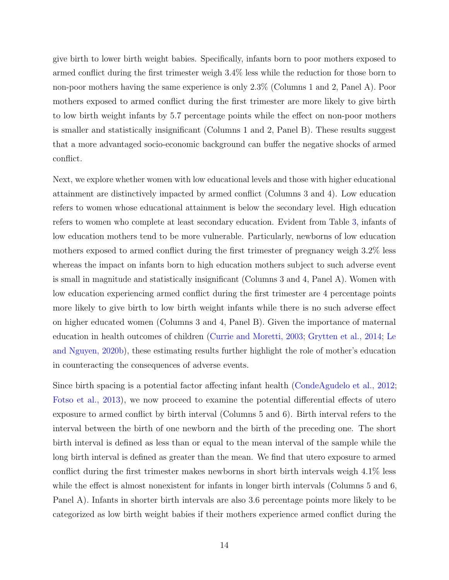give birth to lower birth weight babies. Specifically, infants born to poor mothers exposed to armed conflict during the first trimester weigh 3.4% less while the reduction for those born to non-poor mothers having the same experience is only 2.3% (Columns 1 and 2, Panel A). Poor mothers exposed to armed conflict during the first trimester are more likely to give birth to low birth weight infants by 5.7 percentage points while the effect on non-poor mothers is smaller and statistically insignificant (Columns 1 and 2, Panel B). These results suggest that a more advantaged socio-economic background can buffer the negative shocks of armed conflict.

Next, we explore whether women with low educational levels and those with higher educational attainment are distinctively impacted by armed conflict (Columns 3 and 4). Low education refers to women whose educational attainment is below the secondary level. High education refers to women who complete at least secondary education. Evident from Table 3, infants of low education mothers tend to be more vulnerable. Particularly, newborns of low education mothers exposed to armed conflict during the first trimester of pregnancy weigh 3.2% less whereas the impact on infants born to high education mothers subject to such adverse event is small in magnitude and statistically insignificant (Columns 3 and 4, Panel A). Women with low education experiencing armed conflict during the first trimester are 4 percentage points more likely to give birth to low birth weight infants while there is no such adverse effect on higher educated women (Columns 3 and 4, Panel B). Given the importance of maternal education in health outcomes of children (Currie and Moretti, 2003; Grytten et al., 2014; Le and Nguyen, 2020b), these estimating results further highlight the role of mother's education in counteracting the consequences of adverse events.

Since birth spacing is a potential factor affecting infant health (CondeAgudelo et al., 2012; Fotso et al., 2013), we now proceed to examine the potential differential effects of utero exposure to armed conflict by birth interval (Columns 5 and 6). Birth interval refers to the interval between the birth of one newborn and the birth of the preceding one. The short birth interval is defined as less than or equal to the mean interval of the sample while the long birth interval is defined as greater than the mean. We find that utero exposure to armed conflict during the first trimester makes newborns in short birth intervals weigh 4.1% less while the effect is almost nonexistent for infants in longer birth intervals (Columns 5 and 6, Panel A). Infants in shorter birth intervals are also 3.6 percentage points more likely to be categorized as low birth weight babies if their mothers experience armed conflict during the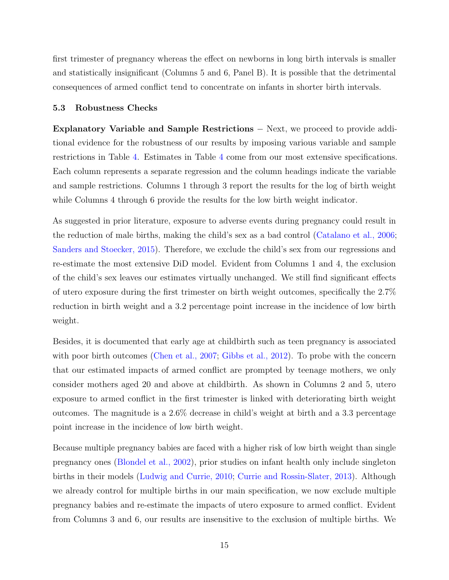first trimester of pregnancy whereas the effect on newborns in long birth intervals is smaller and statistically insignificant (Columns 5 and 6, Panel B). It is possible that the detrimental consequences of armed conflict tend to concentrate on infants in shorter birth intervals.

#### 5.3 Robustness Checks

Explanatory Variable and Sample Restrictions − Next, we proceed to provide additional evidence for the robustness of our results by imposing various variable and sample restrictions in Table 4. Estimates in Table 4 come from our most extensive specifications. Each column represents a separate regression and the column headings indicate the variable and sample restrictions. Columns 1 through 3 report the results for the log of birth weight while Columns 4 through 6 provide the results for the low birth weight indicator.

As suggested in prior literature, exposure to adverse events during pregnancy could result in the reduction of male births, making the child's sex as a bad control (Catalano et al., 2006; Sanders and Stoecker, 2015). Therefore, we exclude the child's sex from our regressions and re-estimate the most extensive DiD model. Evident from Columns 1 and 4, the exclusion of the child's sex leaves our estimates virtually unchanged. We still find significant effects of utero exposure during the first trimester on birth weight outcomes, specifically the 2.7% reduction in birth weight and a 3.2 percentage point increase in the incidence of low birth weight.

Besides, it is documented that early age at childbirth such as teen pregnancy is associated with poor birth outcomes (Chen et al., 2007; Gibbs et al., 2012). To probe with the concern that our estimated impacts of armed conflict are prompted by teenage mothers, we only consider mothers aged 20 and above at childbirth. As shown in Columns 2 and 5, utero exposure to armed conflict in the first trimester is linked with deteriorating birth weight outcomes. The magnitude is a 2.6% decrease in child's weight at birth and a 3.3 percentage point increase in the incidence of low birth weight.

Because multiple pregnancy babies are faced with a higher risk of low birth weight than single pregnancy ones (Blondel et al., 2002), prior studies on infant health only include singleton births in their models (Ludwig and Currie, 2010; Currie and Rossin-Slater, 2013). Although we already control for multiple births in our main specification, we now exclude multiple pregnancy babies and re-estimate the impacts of utero exposure to armed conflict. Evident from Columns 3 and 6, our results are insensitive to the exclusion of multiple births. We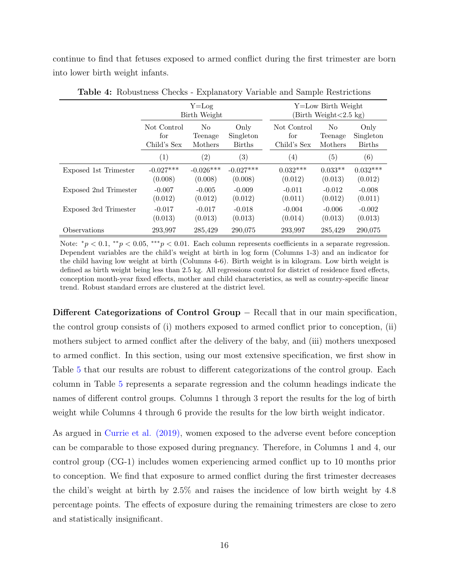continue to find that fetuses exposed to armed conflict during the first trimester are born into lower birth weight infants.

|                       | $Y = Log$<br>Birth Weight |                   |                   | Y=Low Birth Weight<br>$\text{Birth Weight} < 2.5 \text{ kg}$ |                   |                   |  |
|-----------------------|---------------------------|-------------------|-------------------|--------------------------------------------------------------|-------------------|-------------------|--|
|                       | Not Control               | No                | Only              | Not Control                                                  | N <sub>0</sub>    | Only              |  |
|                       | for                       | Teenage           | Singleton         | for                                                          | Teenage           | Singleton         |  |
|                       | Child's Sex               | Mothers           | <b>Births</b>     | Child's Sex                                                  | Mothers           | <b>Births</b>     |  |
|                       | $\left( 1\right)$         | $\left( 2\right)$ | $\left( 3\right)$ | $\left( 4\right)$                                            | $\left( 5\right)$ | $\left( 6\right)$ |  |
| Exposed 1st Trimester | $-0.027***$               | $-0.026***$       | $-0.027***$       | $0.032***$                                                   | $0.033**$         | $0.032***$        |  |
|                       | (0.008)                   | (0.008)           | (0.008)           | (0.012)                                                      | (0.013)           | (0.012)           |  |
| Exposed 2nd Trimester | $-0.007$                  | $-0.005$          | $-0.009$          | $-0.011$                                                     | $-0.012$          | $-0.008$          |  |
|                       | (0.012)                   | (0.012)           | (0.012)           | (0.011)                                                      | (0.012)           | (0.011)           |  |
| Exposed 3rd Trimester | $-0.017$                  | $-0.017$          | $-0.018$          | $-0.004$                                                     | $-0.006$          | $-0.002$          |  |
|                       | (0.013)                   | (0.013)           | (0.013)           | (0.014)                                                      | (0.013)           | (0.013)           |  |
| Observations          | 293,997                   | 285,429           | 290,075           | 293,997                                                      | 285,429           | 290,075           |  |

Table 4: Robustness Checks - Explanatory Variable and Sample Restrictions

Note:  $*_p$  < 0.1,  $*_p$  < 0.05,  $^{**p}$  < 0.01. Each column represents coefficients in a separate regression. Dependent variables are the child's weight at birth in log form (Columns 1-3) and an indicator for the child having low weight at birth (Columns 4-6). Birth weight is in kilogram. Low birth weight is defined as birth weight being less than 2.5 kg. All regressions control for district of residence fixed effects, conception month-year fixed effects, mother and child characteristics, as well as country-specific linear trend. Robust standard errors are clustered at the district level.

Different Categorizations of Control Group − Recall that in our main specification, the control group consists of (i) mothers exposed to armed conflict prior to conception, (ii) mothers subject to armed conflict after the delivery of the baby, and (iii) mothers unexposed to armed conflict. In this section, using our most extensive specification, we first show in Table 5 that our results are robust to different categorizations of the control group. Each column in Table 5 represents a separate regression and the column headings indicate the names of different control groups. Columns 1 through 3 report the results for the log of birth weight while Columns 4 through 6 provide the results for the low birth weight indicator.

As argued in Currie et al. (2019), women exposed to the adverse event before conception can be comparable to those exposed during pregnancy. Therefore, in Columns 1 and 4, our control group (CG-1) includes women experiencing armed conflict up to 10 months prior to conception. We find that exposure to armed conflict during the first trimester decreases the child's weight at birth by 2.5% and raises the incidence of low birth weight by 4.8 percentage points. The effects of exposure during the remaining trimesters are close to zero and statistically insignificant.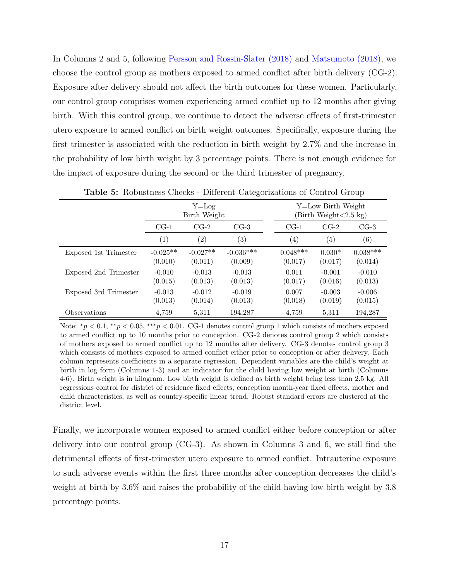In Columns 2 and 5, following Persson and Rossin-Slater (2018) and Matsumoto (2018), we choose the control group as mothers exposed to armed conflict after birth delivery (CG-2). Exposure after delivery should not affect the birth outcomes for these women. Particularly, our control group comprises women experiencing armed conflict up to 12 months after giving birth. With this control group, we continue to detect the adverse effects of first-trimester utero exposure to armed conflict on birth weight outcomes. Specifically, exposure during the first trimester is associated with the reduction in birth weight by 2.7% and the increase in the probability of low birth weight by 3 percentage points. There is not enough evidence for the impact of exposure during the second or the third trimester of pregnancy.

|                       | $Y = Log$<br>Birth Weight  |                       |                        | Y=Low Birth Weight<br>Birth Weight < 2.5 kg |                     |                       |  |
|-----------------------|----------------------------|-----------------------|------------------------|---------------------------------------------|---------------------|-----------------------|--|
|                       | $CG-2$<br>$CG-1$<br>$CG-3$ |                       | $CG-1$                 | $CG-2$                                      | $CG-3$              |                       |  |
|                       | $\left( 1\right)$          | $\left( 2\right)$     | $\left( 3\right)$      | $\left( 4\right)$                           | $\left( 5\right)$   | (6)                   |  |
| Exposed 1st Trimester | $-0.025**$<br>(0.010)      | $-0.027**$<br>(0.011) | $-0.036***$<br>(0.009) | $0.048***$<br>(0.017)                       | $0.030*$<br>(0.017) | $0.038***$<br>(0.014) |  |
| Exposed 2nd Trimester | $-0.010$<br>(0.015)        | $-0.013$<br>(0.013)   | $-0.013$<br>(0.013)    | 0.011<br>(0.017)                            | $-0.001$<br>(0.016) | $-0.010$<br>(0.013)   |  |
| Exposed 3rd Trimester | $-0.013$<br>(0.013)        | $-0.012$<br>(0.014)   | $-0.019$<br>(0.013)    | 0.007<br>(0.018)                            | $-0.003$<br>(0.019) | $-0.006$<br>(0.015)   |  |
| Observations          | 4,759                      | 5,311                 | 194,287                | 4,759                                       | 5,311               | 194,287               |  |

Table 5: Robustness Checks - Different Categorizations of Control Group

Note:  $^*p < 0.1$ ,  $^{**}p < 0.05$ ,  $^{***}p < 0.01$ . CG-1 denotes control group 1 which consists of mothers exposed to armed conflict up to 10 months prior to conception. CG-2 denotes control group 2 which consists of mothers exposed to armed conflict up to 12 months after delivery. CG-3 denotes control group 3 which consists of mothers exposed to armed conflict either prior to conception or after delivery. Each column represents coefficients in a separate regression. Dependent variables are the child's weight at birth in log form (Columns 1-3) and an indicator for the child having low weight at birth (Columns 4-6). Birth weight is in kilogram. Low birth weight is defined as birth weight being less than 2.5 kg. All regressions control for district of residence fixed effects, conception month-year fixed effects, mother and child characteristics, as well as country-specific linear trend. Robust standard errors are clustered at the district level.

Finally, we incorporate women exposed to armed conflict either before conception or after delivery into our control group (CG-3). As shown in Columns 3 and 6, we still find the detrimental effects of first-trimester utero exposure to armed conflict. Intrauterine exposure to such adverse events within the first three months after conception decreases the child's weight at birth by 3.6% and raises the probability of the child having low birth weight by 3.8 percentage points.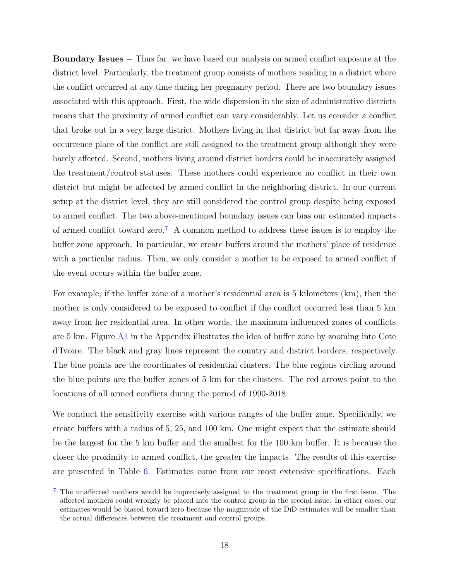Boundary Issues − Thus far, we have based our analysis on armed conflict exposure at the district level. Particularly, the treatment group consists of mothers residing in a district where the conflict occurred at any time during her pregnancy period. There are two boundary issues associated with this approach. First, the wide dispersion in the size of administrative districts means that the proximity of armed conflict can vary considerably. Let us consider a conflict that broke out in a very large district. Mothers living in that district but far away from the occurrence place of the conflict are still assigned to the treatment group although they were barely affected. Second, mothers living around district borders could be inaccurately assigned the treatment/control statuses. These mothers could experience no conflict in their own district but might be affected by armed conflict in the neighboring district. In our current setup at the district level, they are still considered the control group despite being exposed to armed conflict. The two above-mentioned boundary issues can bias our estimated impacts of armed conflict toward zero.<sup>7</sup> A common method to address these issues is to employ the buffer zone approach. In particular, we create buffers around the mothers' place of residence with a particular radius. Then, we only consider a mother to be exposed to armed conflict if the event occurs within the buffer zone.

For example, if the buffer zone of a mother's residential area is 5 kilometers (km), then the mother is only considered to be exposed to conflict if the conflict occurred less than 5 km away from her residential area. In other words, the maximum influenced zones of conflicts are 5 km. Figure A1 in the Appendix illustrates the idea of buffer zone by zooming into Cote d'Ivoire. The black and gray lines represent the country and district borders, respectively. The blue points are the coordinates of residential clusters. The blue regions circling around the blue points are the buffer zones of 5 km for the clusters. The red arrows point to the locations of all armed conflicts during the period of 1990-2018.

We conduct the sensitivity exercise with various ranges of the buffer zone. Specifically, we create buffers with a radius of 5, 25, and 100 km. One might expect that the estimate should be the largest for the 5 km buffer and the smallest for the 100 km buffer. It is because the closer the proximity to armed conflict, the greater the impacts. The results of this exercise are presented in Table 6. Estimates come from our most extensive specifications. Each

<sup>7</sup> The unaffected mothers would be imprecisely assigned to the treatment group in the first issue. The affected mothers could wrongly be placed into the control group in the second issue. In either cases, our estimates would be biased toward zero because the magnitude of the DiD estimates will be smaller than the actual differences between the treatment and control groups.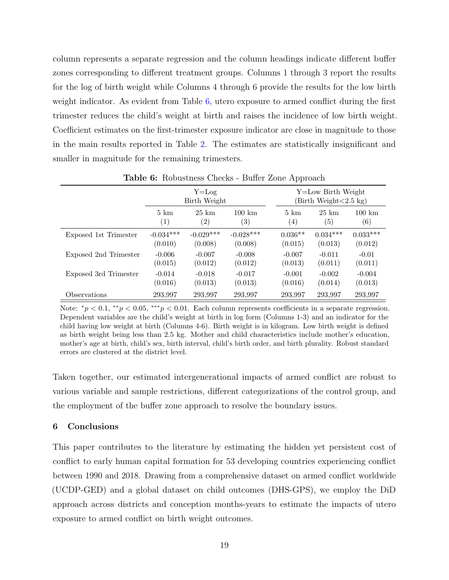column represents a separate regression and the column headings indicate different buffer zones corresponding to different treatment groups. Columns 1 through 3 report the results for the log of birth weight while Columns 4 through 6 provide the results for the low birth weight indicator. As evident from Table 6, utero exposure to armed conflict during the first trimester reduces the child's weight at birth and raises the incidence of low birth weight. Coefficient estimates on the first-trimester exposure indicator are close in magnitude to those in the main results reported in Table 2. The estimates are statistically insignificant and smaller in magnitude for the remaining trimesters.

|                       | $Y = Log$<br>Birth Weight |                 |                      | Y=Low Birth Weight<br>Birth Weight < 2.5 kg) |                 |                      |
|-----------------------|---------------------------|-----------------|----------------------|----------------------------------------------|-----------------|----------------------|
|                       | $5 \;{\rm km}$            | $25 \;{\rm km}$ | $100 \; \mathrm{km}$ | $5 \; \mathrm{km}$                           | $25 \;{\rm km}$ | $100 \; \mathrm{km}$ |
|                       | (1)                       | $^{\prime}2)$   | $\left( 3\right)$    | $\left( 4\right)$                            | (5)             | $\left( 6\right)$    |
| Exposed 1st Trimester | $-0.034***$               | $-0.029***$     | $-0.028***$          | $0.036**$                                    | $0.034***$      | $0.033***$           |
|                       | (0.010)                   | (0.008)         | (0.008)              | (0.015)                                      | (0.013)         | (0.012)              |
| Exposed 2nd Trimester | $-0.006$                  | $-0.007$        | $-0.008$             | $-0.007$                                     | $-0.011$        | $-0.01$              |
|                       | (0.015)                   | (0.012)         | (0.012)              | (0.013)                                      | (0.011)         | (0.011)              |
| Exposed 3rd Trimester | $-0.014$                  | $-0.018$        | $-0.017$             | $-0.001$                                     | $-0.002$        | $-0.004$             |
|                       | (0.016)                   | (0.013)         | (0.013)              | (0.016)                                      | (0.014)         | (0.013)              |
| Observations          | 293,997                   | 293,997         | 293,997              | 293,997                                      | 293,997         | 293,997              |

Table 6: Robustness Checks - Buffer Zone Approach

Note:  $\pi p < 0.1$ ,  $\pi p < 0.05$ ,  $\pi p < 0.01$ . Each column represents coefficients in a separate regression. Dependent variables are the child's weight at birth in log form (Columns 1-3) and an indicator for the child having low weight at birth (Columns 4-6). Birth weight is in kilogram. Low birth weight is defined as birth weight being less than 2.5 kg. Mother and child characteristics include mother's education, mother's age at birth, child's sex, birth interval, child's birth order, and birth plurality. Robust standard errors are clustered at the district level.

Taken together, our estimated intergenerational impacts of armed conflict are robust to various variable and sample restrictions, different categorizations of the control group, and the employment of the buffer zone approach to resolve the boundary issues.

### 6 Conclusions

This paper contributes to the literature by estimating the hidden yet persistent cost of conflict to early human capital formation for 53 developing countries experiencing conflict between 1990 and 2018. Drawing from a comprehensive dataset on armed conflict worldwide (UCDP-GED) and a global dataset on child outcomes (DHS-GPS), we employ the DiD approach across districts and conception months-years to estimate the impacts of utero exposure to armed conflict on birth weight outcomes.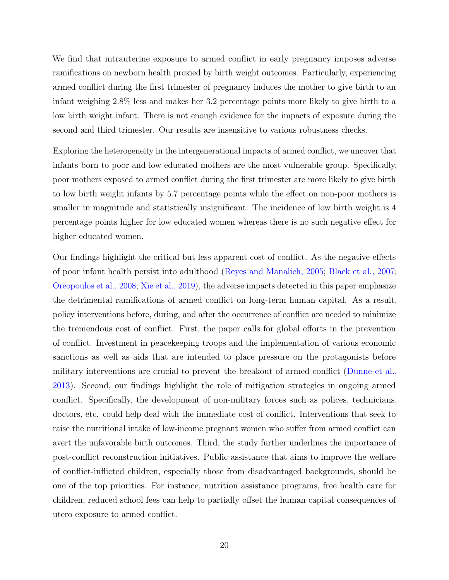We find that intrauterine exposure to armed conflict in early pregnancy imposes adverse ramifications on newborn health proxied by birth weight outcomes. Particularly, experiencing armed conflict during the first trimester of pregnancy induces the mother to give birth to an infant weighing 2.8% less and makes her 3.2 percentage points more likely to give birth to a low birth weight infant. There is not enough evidence for the impacts of exposure during the second and third trimester. Our results are insensitive to various robustness checks.

Exploring the heterogeneity in the intergenerational impacts of armed conflict, we uncover that infants born to poor and low educated mothers are the most vulnerable group. Specifically, poor mothers exposed to armed conflict during the first trimester are more likely to give birth to low birth weight infants by 5.7 percentage points while the effect on non-poor mothers is smaller in magnitude and statistically insignificant. The incidence of low birth weight is 4 percentage points higher for low educated women whereas there is no such negative effect for higher educated women.

Our findings highlight the critical but less apparent cost of conflict. As the negative effects of poor infant health persist into adulthood (Reyes and Manalich, 2005; Black et al., 2007; Oreopoulos et al., 2008; Xie et al., 2019), the adverse impacts detected in this paper emphasize the detrimental ramifications of armed conflict on long-term human capital. As a result, policy interventions before, during, and after the occurrence of conflict are needed to minimize the tremendous cost of conflict. First, the paper calls for global efforts in the prevention of conflict. Investment in peacekeeping troops and the implementation of various economic sanctions as well as aids that are intended to place pressure on the protagonists before military interventions are crucial to prevent the breakout of armed conflict (Dunne et al., 2013). Second, our findings highlight the role of mitigation strategies in ongoing armed conflict. Specifically, the development of non-military forces such as polices, technicians, doctors, etc. could help deal with the immediate cost of conflict. Interventions that seek to raise the nutritional intake of low-income pregnant women who suffer from armed conflict can avert the unfavorable birth outcomes. Third, the study further underlines the importance of post-conflict reconstruction initiatives. Public assistance that aims to improve the welfare of conflict-inflicted children, especially those from disadvantaged backgrounds, should be one of the top priorities. For instance, nutrition assistance programs, free health care for children, reduced school fees can help to partially offset the human capital consequences of utero exposure to armed conflict.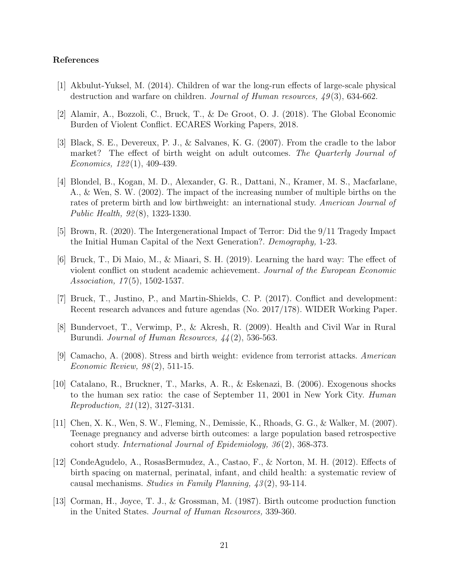#### References

- [1] Akbulut-Yuksel, M. (2014). Children of war the long-run effects of large-scale physical destruction and warfare on children. Journal of Human resources,  $49(3)$ , 634-662.
- [2] Alamir, A., Bozzoli, C., Bruck, T., & De Groot, O. J. (2018). The Global Economic Burden of Violent Conflict. ECARES Working Papers, 2018.
- [3] Black, S. E., Devereux, P. J., & Salvanes, K. G. (2007). From the cradle to the labor market? The effect of birth weight on adult outcomes. The Quarterly Journal of Economics, 122 (1), 409-439.
- [4] Blondel, B., Kogan, M. D., Alexander, G. R., Dattani, N., Kramer, M. S., Macfarlane, A., & Wen, S. W. (2002). The impact of the increasing number of multiple births on the rates of preterm birth and low birthweight: an international study. American Journal of Public Health, 92 (8), 1323-1330.
- [5] Brown, R. (2020). The Intergenerational Impact of Terror: Did the 9/11 Tragedy Impact the Initial Human Capital of the Next Generation?. Demography, 1-23.
- [6] Bruck, T., Di Maio, M., & Miaari, S. H. (2019). Learning the hard way: The effect of violent conflict on student academic achievement. Journal of the European Economic Association,  $17(5)$ , 1502-1537.
- [7] Bruck, T., Justino, P., and Martin-Shields, C. P. (2017). Conflict and development: Recent research advances and future agendas (No. 2017/178). WIDER Working Paper.
- [8] Bundervoet, T., Verwimp, P., & Akresh, R. (2009). Health and Civil War in Rural Burundi. Journal of Human Resources,  $44(2)$ , 536-563.
- [9] Camacho, A. (2008). Stress and birth weight: evidence from terrorist attacks. American Economic Review, 98 (2), 511-15.
- [10] Catalano, R., Bruckner, T., Marks, A. R., & Eskenazi, B. (2006). Exogenous shocks to the human sex ratio: the case of September 11, 2001 in New York City. Human Reproduction, 21 (12), 3127-3131.
- [11] Chen, X. K., Wen, S. W., Fleming, N., Demissie, K., Rhoads, G. G., & Walker, M. (2007). Teenage pregnancy and adverse birth outcomes: a large population based retrospective cohort study. International Journal of Epidemiology, 36 (2), 368-373.
- [12] CondeAgudelo, A., RosasBermudez, A., Castao, F., & Norton, M. H. (2012). Effects of birth spacing on maternal, perinatal, infant, and child health: a systematic review of causal mechanisms. Studies in Family Planning,  $\frac{43(2)}{93-114}$ .
- [13] Corman, H., Joyce, T. J., & Grossman, M. (1987). Birth outcome production function in the United States. Journal of Human Resources, 339-360.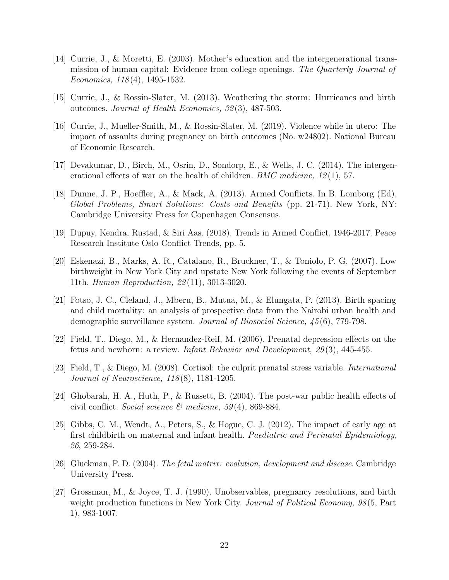- [14] Currie, J., & Moretti, E. (2003). Mother's education and the intergenerational transmission of human capital: Evidence from college openings. The Quarterly Journal of Economics, 118 (4), 1495-1532.
- [15] Currie, J., & Rossin-Slater, M. (2013). Weathering the storm: Hurricanes and birth outcomes. Journal of Health Economics, 32 (3), 487-503.
- [16] Currie, J., Mueller-Smith, M., & Rossin-Slater, M. (2019). Violence while in utero: The impact of assaults during pregnancy on birth outcomes (No. w24802). National Bureau of Economic Research.
- [17] Devakumar, D., Birch, M., Osrin, D., Sondorp, E., & Wells, J. C. (2014). The intergenerational effects of war on the health of children. *BMC medicine*,  $12(1)$ , 57.
- [18] Dunne, J. P., Hoeffler, A., & Mack, A. (2013). Armed Conflicts. In B. Lomborg (Ed), Global Problems, Smart Solutions: Costs and Benefits (pp. 21-71). New York, NY: Cambridge University Press for Copenhagen Consensus.
- [19] Dupuy, Kendra, Rustad, & Siri Aas. (2018). Trends in Armed Conflict, 1946-2017. Peace Research Institute Oslo Conflict Trends, pp. 5.
- [20] Eskenazi, B., Marks, A. R., Catalano, R., Bruckner, T., & Toniolo, P. G. (2007). Low birthweight in New York City and upstate New York following the events of September 11th. Human Reproduction, 22 (11), 3013-3020.
- [21] Fotso, J. C., Cleland, J., Mberu, B., Mutua, M., & Elungata, P. (2013). Birth spacing and child mortality: an analysis of prospective data from the Nairobi urban health and demographic surveillance system. Journal of Biosocial Science, 45(6), 779-798.
- [22] Field, T., Diego, M., & Hernandez-Reif, M. (2006). Prenatal depression effects on the fetus and newborn: a review. Infant Behavior and Development, 29 (3), 445-455.
- [23] Field, T., & Diego, M. (2008). Cortisol: the culprit prenatal stress variable. International Journal of Neuroscience, 118 (8), 1181-1205.
- [24] Ghobarah, H. A., Huth, P., & Russett, B. (2004). The post-war public health effects of civil conflict. Social science  $\mathcal{C}$  medicine, 59(4), 869-884.
- [25] Gibbs, C. M., Wendt, A., Peters, S., & Hogue, C. J. (2012). The impact of early age at first childbirth on maternal and infant health. Paediatric and Perinatal Epidemiology, 26, 259-284.
- [26] Gluckman, P. D. (2004). The fetal matrix: evolution, development and disease. Cambridge University Press.
- [27] Grossman, M., & Joyce, T. J. (1990). Unobservables, pregnancy resolutions, and birth weight production functions in New York City. Journal of Political Economy, 98(5, Part 1), 983-1007.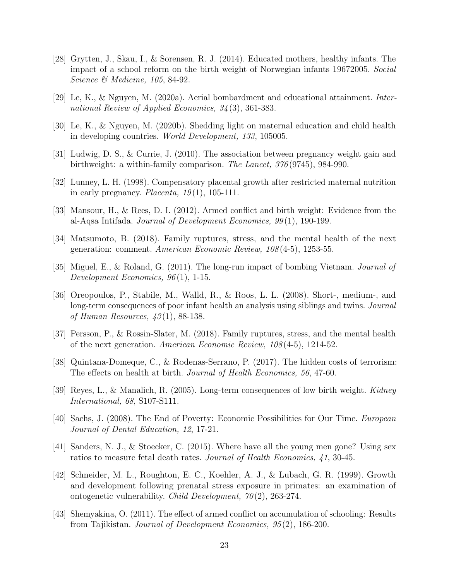- [28] Grytten, J., Skau, I., & Sorensen, R. J. (2014). Educated mothers, healthy infants. The impact of a school reform on the birth weight of Norwegian infants 19672005. Social Science & Medicine, 105, 84-92.
- [29] Le, K., & Nguyen, M. (2020a). Aerial bombardment and educational attainment. International Review of Applied Economics, 34 (3), 361-383.
- [30] Le, K., & Nguyen, M. (2020b). Shedding light on maternal education and child health in developing countries. World Development, 133, 105005.
- [31] Ludwig, D. S., & Currie, J. (2010). The association between pregnancy weight gain and birthweight: a within-family comparison. The Lancet,  $376(9745)$ , 984-990.
- [32] Lunney, L. H. (1998). Compensatory placental growth after restricted maternal nutrition in early pregnancy. *Placenta*,  $19(1)$ , 105-111.
- [33] Mansour, H., & Rees, D. I. (2012). Armed conflict and birth weight: Evidence from the al-Aqsa Intifada. Journal of Development Economics, 99 (1), 190-199.
- [34] Matsumoto, B. (2018). Family ruptures, stress, and the mental health of the next generation: comment. American Economic Review, 108 (4-5), 1253-55.
- [35] Miguel, E., & Roland, G. (2011). The long-run impact of bombing Vietnam. Journal of Development Economics,  $96(1)$ , 1-15.
- [36] Oreopoulos, P., Stabile, M., Walld, R., & Roos, L. L. (2008). Short-, medium-, and long-term consequences of poor infant health an analysis using siblings and twins. *Journal* of Human Resources,  $43(1)$ , 88-138.
- [37] Persson, P., & Rossin-Slater, M. (2018). Family ruptures, stress, and the mental health of the next generation. American Economic Review, 108 (4-5), 1214-52.
- [38] Quintana-Domeque, C., & Rodenas-Serrano, P. (2017). The hidden costs of terrorism: The effects on health at birth. Journal of Health Economics, 56, 47-60.
- [39] Reyes, L., & Manalich, R. (2005). Long-term consequences of low birth weight. Kidney International, 68, S107-S111.
- [40] Sachs, J. (2008). The End of Poverty: Economic Possibilities for Our Time. European Journal of Dental Education, 12, 17-21.
- [41] Sanders, N. J., & Stoecker, C. (2015). Where have all the young men gone? Using sex ratios to measure fetal death rates. Journal of Health Economics, 41, 30-45.
- [42] Schneider, M. L., Roughton, E. C., Koehler, A. J., & Lubach, G. R. (1999). Growth and development following prenatal stress exposure in primates: an examination of ontogenetic vulnerability. *Child Development*,  $70(2)$ , 263-274.
- [43] Shemyakina, O. (2011). The effect of armed conflict on accumulation of schooling: Results from Tajikistan. Journal of Development Economics, 95 (2), 186-200.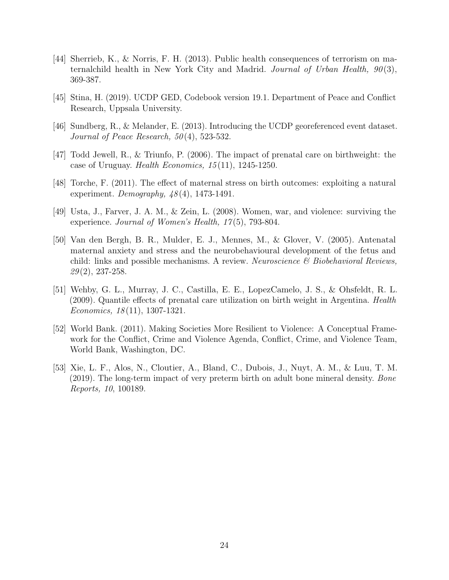- [44] Sherrieb, K., & Norris, F. H. (2013). Public health consequences of terrorism on maternalchild health in New York City and Madrid. Journal of Urban Health,  $90(3)$ , 369-387.
- [45] Stina, H. (2019). UCDP GED, Codebook version 19.1. Department of Peace and Conflict Research, Uppsala University.
- [46] Sundberg, R., & Melander, E. (2013). Introducing the UCDP georeferenced event dataset. Journal of Peace Research,  $50(4)$ , 523-532.
- [47] Todd Jewell, R., & Triunfo, P. (2006). The impact of prenatal care on birthweight: the case of Uruguay. Health Economics,  $15(11)$ ,  $1245-1250$ .
- [48] Torche, F. (2011). The effect of maternal stress on birth outcomes: exploiting a natural experiment. Demography,  $48(4)$ , 1473-1491.
- [49] Usta, J., Farver, J. A. M., & Zein, L. (2008). Women, war, and violence: surviving the experience. Journal of Women's Health,  $17(5)$ , 793-804.
- [50] Van den Bergh, B. R., Mulder, E. J., Mennes, M., & Glover, V. (2005). Antenatal maternal anxiety and stress and the neurobehavioural development of the fetus and child: links and possible mechanisms. A review. *Neuroscience*  $\mathscr B$  *Biobehavioral Reviews*,  $29(2)$ , 237-258.
- [51] Wehby, G. L., Murray, J. C., Castilla, E. E., LopezCamelo, J. S., & Ohsfeldt, R. L. (2009). Quantile effects of prenatal care utilization on birth weight in Argentina. Health Economics, 18 (11), 1307-1321.
- [52] World Bank. (2011). Making Societies More Resilient to Violence: A Conceptual Framework for the Conflict, Crime and Violence Agenda, Conflict, Crime, and Violence Team, World Bank, Washington, DC.
- [53] Xie, L. F., Alos, N., Cloutier, A., Bland, C., Dubois, J., Nuyt, A. M., & Luu, T. M. (2019). The long-term impact of very preterm birth on adult bone mineral density. Bone Reports, 10, 100189.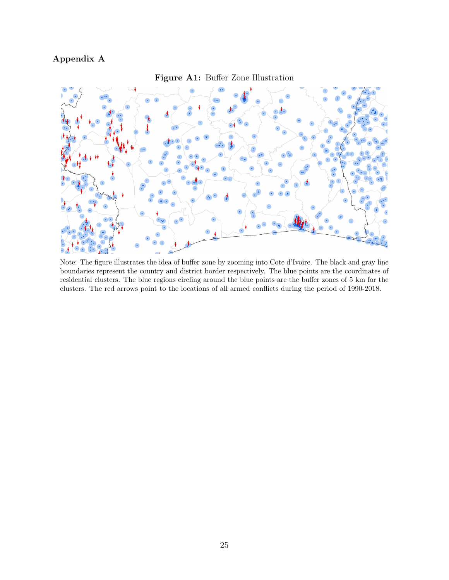## Appendix A



Figure A1: Buffer Zone Illustration

Note: The figure illustrates the idea of buffer zone by zooming into Cote d'Ivoire. The black and gray line boundaries represent the country and district border respectively. The blue points are the coordinates of residential clusters. The blue regions circling around the blue points are the buffer zones of 5 km for the clusters. The red arrows point to the locations of all armed conflicts during the period of 1990-2018.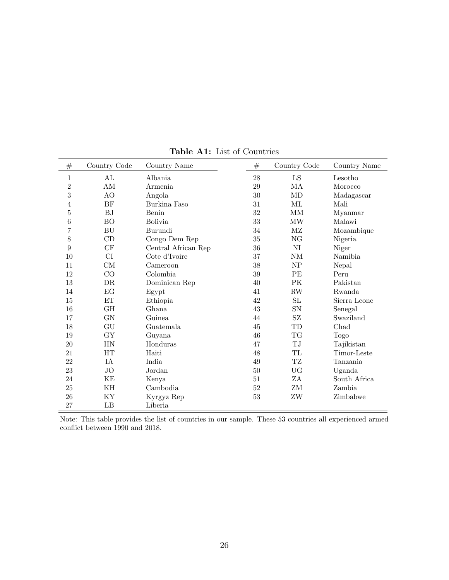| $\#$           | Country Code        | Country Name        | #      | Country Code        | Country Name     |
|----------------|---------------------|---------------------|--------|---------------------|------------------|
| $\mathbf 1$    | AL                  | Albania             | 28     | LS                  | Lesotho          |
| $\overline{2}$ | AM                  | Armenia             | 29     | MA                  | Morocco          |
| 3              | AO                  | Angola              | $30\,$ | MD                  | $\rm Madagascar$ |
| 4              | BF                  | Burkina Faso        | 31     | ML                  | Mali             |
| $\overline{5}$ | <b>BJ</b>           | Benin               | $32\,$ | $\mbox{MM}$         | Myanmar          |
| 6              | BO                  | <b>Bolivia</b>      | 33     | <b>MW</b>           | Malawi           |
| 7              | BU                  | Burundi             | 34     | $\rm MZ$            | Mozambique       |
| 8              | $\mathop{\rm CD}$   | Congo Dem Rep       | $35\,$ | $\rm NG$            | Nigeria          |
| $\overline{9}$ | CF                  | Central African Rep | 36     | $\rm NI$            | Niger            |
| 10             | CI                  | Cote d'Ivoire       | 37     | $\mathrm{NM}$       | Namibia          |
| 11             | CM                  | Cameroon            | 38     | NP                  | Nepal            |
| 12             | CO                  | Colombia            | $39\,$ | $\rm PE$            | Peru             |
| 13             | DR                  | Dominican Rep       | 40     | PK                  | Pakistan         |
| 14             | EG                  | Egypt               | 41     | $\mathbf{RW}$       | Rwanda           |
| 15             | $\operatorname{ET}$ | Ethiopia            | 42     | SL                  | Sierra Leone     |
| 16             | <b>GH</b>           | Ghana               | 43     | SN                  | Senegal          |
| 17             | ${\rm GN}$          | Guinea              | 44     | $\operatorname{SZ}$ | Swaziland        |
| 18             | GU                  | Guatemala           | 45     | TD                  | Chad             |
| 19             | GY                  | Guyana              | 46     | TG                  | <b>Togo</b>      |
| 20             | <b>HN</b>           | Honduras            | 47     | $\rm TJ$            | Tajikistan       |
| 21             | HT                  | Haiti               | 48     | TL                  | Timor-Leste      |
| 22             | IA                  | India               | $49\,$ | $\operatorname{TZ}$ | Tanzania         |
| 23             | JO                  | Jordan              | 50     | UG                  | Uganda           |
| 24             | KE                  | Kenya               | 51     | ZA                  | South Africa     |
| 25             | KH                  | Cambodia            | 52     | ZM                  | Zambia           |
| 26             | KY                  | Kyrgyz Rep          | 53     | ZW                  | Zimbabwe         |
| 27             | LB                  | Liberia             |        |                     |                  |

Table A1: List of Countries

Note: This table provides the list of countries in our sample. These 53 countries all experienced armed conflict between 1990 and 2018.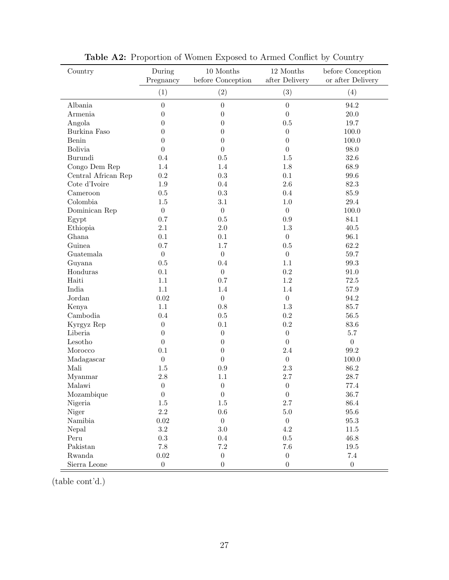| Country             | During<br>Pregnancy | $10\ \mbox{Months}$<br>before Conception | 12 Months<br>after Delivery | before Conception<br>or after Delivery |
|---------------------|---------------------|------------------------------------------|-----------------------------|----------------------------------------|
|                     | (1)                 | (2)                                      | (3)                         | (4)                                    |
| Albania             | $\boldsymbol{0}$    | $\boldsymbol{0}$                         | $\overline{0}$              | 94.2                                   |
| Armenia             | $\overline{0}$      | $\overline{0}$                           | $\theta$                    | $20.0\,$                               |
| Angola              | $\theta$            | $\boldsymbol{0}$                         | 0.5                         | 19.7                                   |
| Burkina Faso        | $\overline{0}$      | $\overline{0}$                           | $\theta$                    | 100.0                                  |
| Benin               | $\overline{0}$      | $\overline{0}$                           | $\overline{0}$              | 100.0                                  |
| <b>Bolivia</b>      | $\overline{0}$      | $\overline{0}$                           | $\theta$                    | 98.0                                   |
| Burundi             | 0.4                 | $0.5\,$                                  | 1.5                         | 32.6                                   |
| Congo Dem Rep       | 1.4                 | 1.4                                      | 1.8                         | 68.9                                   |
| Central African Rep | $\rm 0.2$           | $\rm 0.3$                                | 0.1                         | 99.6                                   |
| Cote d'Ivoire       | 1.9                 | 0.4                                      | 2.6                         | 82.3                                   |
| Cameroon            | 0.5                 | 0.3                                      | 0.4                         | 85.9                                   |
| Colombia            | $1.5\,$             | 3.1                                      | 1.0                         | 29.4                                   |
| Dominican Rep       | $\boldsymbol{0}$    | $\boldsymbol{0}$                         | $\boldsymbol{0}$            | 100.0                                  |
| Egypt               | 0.7                 | 0.5                                      | 0.9                         | 84.1                                   |
| Ethiopia            | 2.1                 | 2.0                                      | 1.3                         | 40.5                                   |
| Ghana               | 0.1                 | 0.1                                      | $\boldsymbol{0}$            | 96.1                                   |
| Guinea              | 0.7                 | 1.7                                      | 0.5                         | 62.2                                   |
| Guatemala           | $\boldsymbol{0}$    | $\boldsymbol{0}$                         | $\boldsymbol{0}$            | 59.7                                   |
| Guyana              | $0.5\,$             | 0.4                                      | 1.1                         | 99.3                                   |
| Honduras            | $0.1\,$             | $\boldsymbol{0}$                         | 0.2                         | 91.0                                   |
| Haiti               | $1.1\,$             | 0.7                                      | 1.2                         | 72.5                                   |
| India               | $1.1\,$             | 1.4                                      | 1.4                         | $57.9\,$                               |
| Jordan              | 0.02                | $\boldsymbol{0}$                         | $\boldsymbol{0}$            | 94.2                                   |
| Kenya               | $1.1\,$             | $0.8\,$                                  | 1.3                         | 85.7                                   |
| Cambodia            | 0.4                 | $0.5\,$                                  | 0.2                         | $56.5\,$                               |
| Kyrgyz Rep          | $\boldsymbol{0}$    | $0.1\,$                                  | $\rm 0.2$                   | 83.6                                   |
| Liberia             | $\boldsymbol{0}$    | $\boldsymbol{0}$                         | $\boldsymbol{0}$            | $5.7\,$                                |
| Lesotho             | $\boldsymbol{0}$    | $\overline{0}$                           | $\boldsymbol{0}$            | $\boldsymbol{0}$                       |
| Morocco             | $0.1\,$             | $\boldsymbol{0}$                         | 2.4                         | $99.2\,$                               |
| Madagascar          | $\boldsymbol{0}$    | $\overline{0}$                           | $\boldsymbol{0}$            | 100.0                                  |
| Mali                | $1.5\,$             | $0.9\,$                                  | $2.3\,$                     | 86.2                                   |
| Myanmar             | 2.8                 | 1.1                                      | 2.7                         | 28.7                                   |
| Malawi              | $\boldsymbol{0}$    | $\boldsymbol{0}$                         | $\boldsymbol{0}$            | 77.4                                   |
| Mozambique          | $\boldsymbol{0}$    | $\boldsymbol{0}$                         | $\boldsymbol{0}$            | 36.7                                   |
| Nigeria             | $1.5\,$             | $1.5\,$                                  | $2.7\,$                     | 86.4                                   |
| Niger               | $2.2\,$             | $0.6\,$                                  | $5.0\,$                     | 95.6                                   |
| Namibia             | $\rm 0.02$          | $\overline{0}$                           | $\overline{0}$              | $95.3\,$                               |
| Nepal               | $\!3.2\!$           | $3.0\,$                                  | 4.2                         | $11.5\,$                               |
| Peru                | $\rm 0.3$           | $0.4\,$                                  | $0.5\,$                     | 46.8                                   |
| Pakistan            | $7.8\,$             | $7.2\,$                                  | $7.6\,$                     | $19.5\,$                               |
| Rwanda              | $0.02\,$            | $\boldsymbol{0}$                         | $\boldsymbol{0}$            | $7.4\,$                                |
| Sierra Leone        | $\boldsymbol{0}$    | $\boldsymbol{0}$                         | $\boldsymbol{0}$            | $\boldsymbol{0}$                       |

Table A2: Proportion of Women Exposed to Armed Conflict by Country

(table cont'd.)